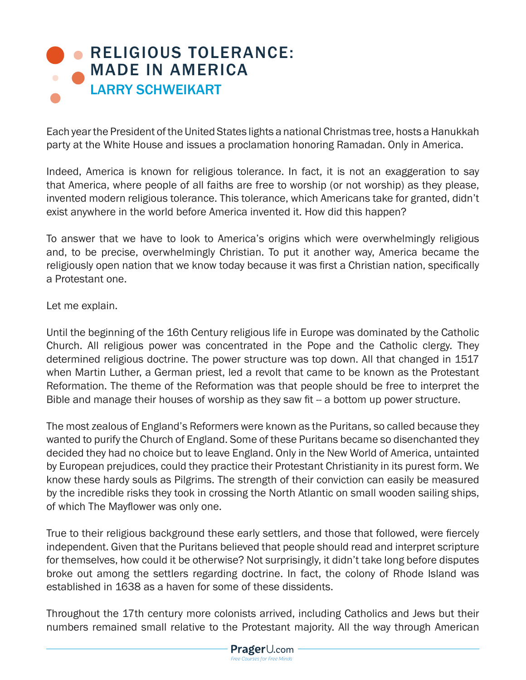## **[RELIGIOUS TOLERANCE:](http://www.prageru.com/History/Religious-Tolerance-Made-in-America.html)** MADE IN AMERICA LARRY SCHWEIKART

Each year the President of the United States lights a national Christmas tree, hosts a Hanukkah party at the White House and issues a proclamation honoring Ramadan. Only in America.

Indeed, America is known for religious tolerance. In fact, it is not an exaggeration to say that America, where people of all faiths are free to worship (or not worship) as they please, invented modern religious tolerance. This tolerance, which Americans take for granted, didn't exist anywhere in the world before America invented it. How did this happen?

To answer that we have to look to America's origins which were overwhelmingly religious and, to be precise, overwhelmingly Christian. To put it another way, America became the religiously open nation that we know today because it was first a Christian nation, specifically a Protestant one.

Let me explain.

Until the beginning of the 16th Century religious life in Europe was dominated by the Catholic Church. All religious power was concentrated in the Pope and the Catholic clergy. They determined religious doctrine. The power structure was top down. All that changed in 1517 when Martin Luther, a German priest, led a revolt that came to be known as the Protestant Reformation. The theme of the Reformation was that people should be free to interpret the Bible and manage their houses of worship as they saw fit -- a bottom up power structure.

The most zealous of England's Reformers were known as the Puritans, so called because they wanted to purify the Church of England. Some of these Puritans became so disenchanted they decided they had no choice but to leave England. Only in the New World of America, untainted by European prejudices, could they practice their Protestant Christianity in its purest form. We know these hardy souls as Pilgrims. The strength of their conviction can easily be measured by the incredible risks they took in crossing the North Atlantic on small wooden sailing ships, of which The Mayflower was only one.

True to their religious background these early settlers, and those that followed, were fiercely independent. Given that the Puritans believed that people should read and interpret scripture for themselves, how could it be otherwise? Not surprisingly, it didn't take long before disputes broke out among the settlers regarding doctrine. In fact, the colony of Rhode Island was established in 1638 as a haven for some of these dissidents.

Throughout the 17th century more colonists arrived, including Catholics and Jews but their numbers remained small relative to the Protestant majority. All the way through American